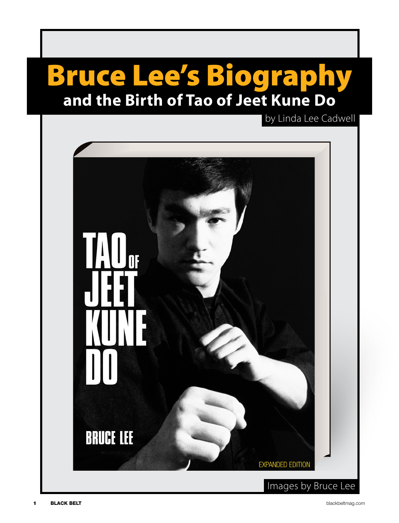# Bruce Lee's Biography and the Birth of Tao of Jeet Kune Do

by Linda Lee Cadwell

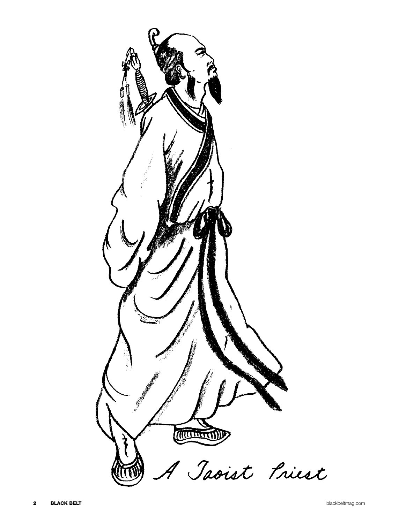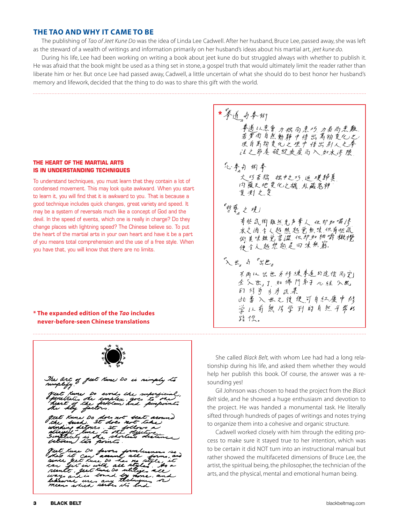#### **The TAO and Why it Came to be**

The publishing of *Tao of Jeet Kune Do* was the idea of Linda Lee Cadwell. After her husband, Bruce Lee, passed away, she was left as the steward of a wealth of writings and information primarily on her husband's ideas about his martial art, *jeet kune do.* 

During his life, Lee had been working on writing a book about jeet kune do but struggled always with whether to publish it. He was afraid that the book might be used as a thing set in stone, a gospel truth that would ultimately limit the reader rather than liberate him or her. But once Lee had passed away, Cadwell, a little uncertain of what she should do to best honor her husband's memory and lifework, decided that the thing to do was to share this gift with the world.

#### **THE HEART OF THE MARTIAL ARTS IS IN UNDERSTANDING TECHNIQUES**

To understand techniques, you must learn that they contain a lot of condensed movement. This may look quite awkward. When you start to learn it, you will find that it is awkward to you. That is because a good technique includes quick changes, great variety and speed. It may be a system of reversals much like a concept of God and the devil. In the speed of events, which one is really in charge? Do they change places with lightning speed? The Chinese believe so. To put the heart of the martial arts in your own heart and have it be a part of you means total comprehension and the use of a free style. When you have that, you will know that there are no limits.

#### \* The expanded edition of the *Tao* includes never-before-seen Chinese translations



**\* 茅道,为拳材** 拳道从意會力拙 励意巧 力易而煮 若罗肉自然動静中悟出莴物变化之 理自高物变化之理中 悟出别人 法之昴奏破绽乘虚而入如水渗腐 人参为 绑拳 丈巧若拙 拙中之巧 返 璞鲈真<br>内蕴天地变化之概 外藏鬼神 莫 則 之 变 "帮禁之境」 有些武術雖然先声牽人 但却如唱。 ·水之酒,生人效;脓,越觉無味,但有些武<br>街,其味致觉苦涩;但却,想想 霸 橄榄 便全人越想越是回味無窮。  $x^2 + y^2 + z^3$ 不再从出世为修练拳道的途径而完 全人世,了如佛門郭子心经久世 印修为方为正果 此番入世之役便可自红座中修 学以前無传学到的自然平常的 践怨。

She called *Black Belt,* with whom Lee had had a long relationship during his life, and asked them whether they would help her publish this book. Of course, the answer was a resounding yes!

Gil Johnson was chosen to head the project from the *Black Belt* side, and he showed a huge enthusiasm and devotion to the project. He was handed a monumental task. He literally sifted through hundreds of pages of writings and notes trying to organize them into a cohesive and organic structure.

Cadwell worked closely with him through the editing process to make sure it stayed true to her intention, which was to be certain it did NOT turn into an instructional manual but rather showed the multifaceted dimensions of Bruce Lee, the artist, the spiritual being, the philosopher, the technician of the arts, and the physical, mental and emotional human being.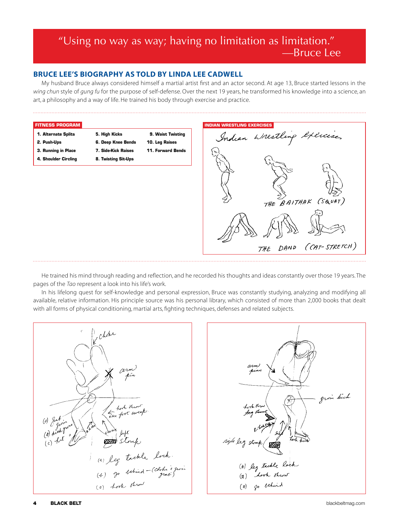### "Using no way as way; having no limitation as limitation." —Bruce Lee

### **Bruce Lee's Biography as Told by Linda Lee CADWELL**

My husband Bruce always considered himself a martial artist first and an actor second. At age 13, Bruce started lessons in the *wing chun* style of *gung fu* for the purpose of self-defense. Over the next 19 years, he transformed his knowledge into a science, an art, a philosophy and a way of life. He trained his body through exercise and practice.



He trained his mind through reading and reflection, and he recorded his thoughts and ideas constantly over those 19 years. The pages of the *Tao* represent a look into his life's work.

In his lifelong quest for self-knowledge and personal expression, Bruce was constantly studying, analyzing and modifying all available, relative information. His principle source was his personal library, which consisted of more than 2,000 books that dealt with all forms of physical conditioning, martial arts, fighting techniques, defenses and related subjects.

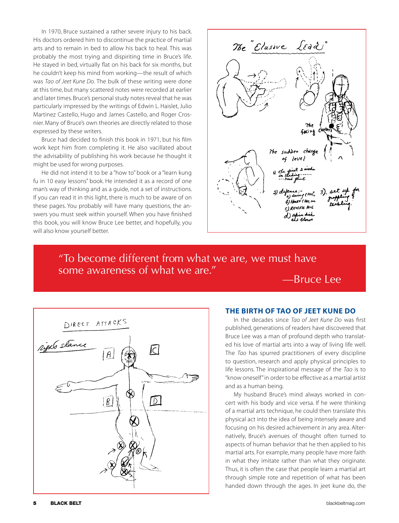In 1970, Bruce sustained a rather severe injury to his back. His doctors ordered him to discontinue the practice of martial arts and to remain in bed to allow his back to heal. This was probably the most trying and dispiriting time in Bruce's life. He stayed in bed, virtually flat on his back for six months, but he couldn't keep his mind from working—the result of which was *Tao of Jeet Kune Do.* The bulk of these writing were done at this time, but many scattered notes were recorded at earlier and later times. Bruce's personal study notes reveal that he was particularly impressed by the writings of Edwin L. Haislet, Julio Martinez Castello, Hugo and James Castello, and Roger Crosnier. Many of Bruce's own theories are directly related to those expressed by these writers.

Bruce had decided to finish this book in 1971, but his film work kept him from completing it. He also vacillated about the advisability of publishing his work because he thought it might be used for wrong purposes.

He did not intend it to be a "how to" book or a "learn kung fu in 10 easy lessons" book. He intended it as a record of one man's way of thinking and as a guide, not a set of instructions. If you can read it in this light, there is much to be aware of on these pages. You probably will have many questions, the answers you must seek within yourself. When you have finished this book, you will know Bruce Lee better, and hopefully, you will also know yourself better.



### "To become different from what we are, we must have some awareness of what we are."

### —Bruce Lee



### **The Birth of Tao of Jeet Kune Do**

In the decades since *Tao of Jeet Kune Do* was first published, generations of readers have discovered that Bruce Lee was a man of profound depth who translated his love of martial arts into a way of living life well. The *Tao* has spurred practitioners of every discipline to question, research and apply physical principles to life lessons. The inspirational message of the *Tao* is to "know oneself" in order to be effective as a martial artist and as a human being.

My husband Bruce's mind always worked in concert with his body and vice versa. If he were thinking of a martial arts technique, he could then translate this physical act into the idea of being intensely aware and focusing on his desired achievement in any area. Alternatively, Bruce's avenues of thought often turned to aspects of human behavior that he then applied to his martial arts. For example, many people have more faith in what they imitate rather than what they originate. Thus, it is often the case that people learn a martial art through simple rote and repetition of what has been handed down through the ages. In jeet kune do, the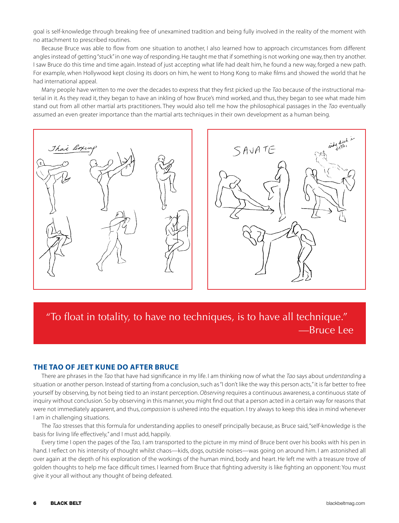goal is self-knowledge through breaking free of unexamined tradition and being fully involved in the reality of the moment with no attachment to prescribed routines.

Because Bruce was able to flow from one situation to another, I also learned how to approach circumstances from different angles instead of getting "stuck" in one way of responding. He taught me that if something is not working one way, then try another. I saw Bruce do this time and time again. Instead of just accepting what life had dealt him, he found a new way, forged a new path. For example, when Hollywood kept closing its doors on him, he went to Hong Kong to make films and showed the world that he had international appeal.

Many people have written to me over the decades to express that they first picked up the *Tao* because of the instructional material in it. As they read it, they began to have an inkling of how Bruce's mind worked, and thus, they began to see what made him stand out from all other martial arts practitioners. They would also tell me how the philosophical passages in the *Tao* eventually assumed an even greater importance than the martial arts techniques in their own development as a human being.





### "To float in totality, to have no techniques, is to have all technique." —Bruce Lee

#### **The Tao of Jeet Kune Do After Bruce**

There are phrases in the *Tao* that have had significance in my life. I am thinking now of what the *Tao* says about *understanding* a situation or another person. Instead of starting from a conclusion, such as "I don't like the way this person acts," it is far better to free yourself by observing, by not being tied to an instant perception. *Observing* requires a continuous awareness, a continuous state of inquiry without conclusion. So by observing in this manner, you might find out that a person acted in a certain way for reasons that were not immediately apparent, and thus, *compassion* is ushered into the equation. I try always to keep this idea in mind whenever I am in challenging situations.

The *Tao* stresses that this formula for understanding applies to oneself principally because, as Bruce said, "self-knowledge is the basis for living life effectively," and I must add, happily.

Every time I open the pages of the *Tao,* I am transported to the picture in my mind of Bruce bent over his books with his pen in hand. I reflect on his intensity of thought whilst chaos—kids, dogs, outside noises—was going on around him. I am astonished all over again at the depth of his exploration of the workings of the human mind, body and heart. He left me with a treasure trove of golden thoughts to help me face difficult times. I learned from Bruce that fighting adversity is like fighting an opponent: You must give it your all without any thought of being defeated.